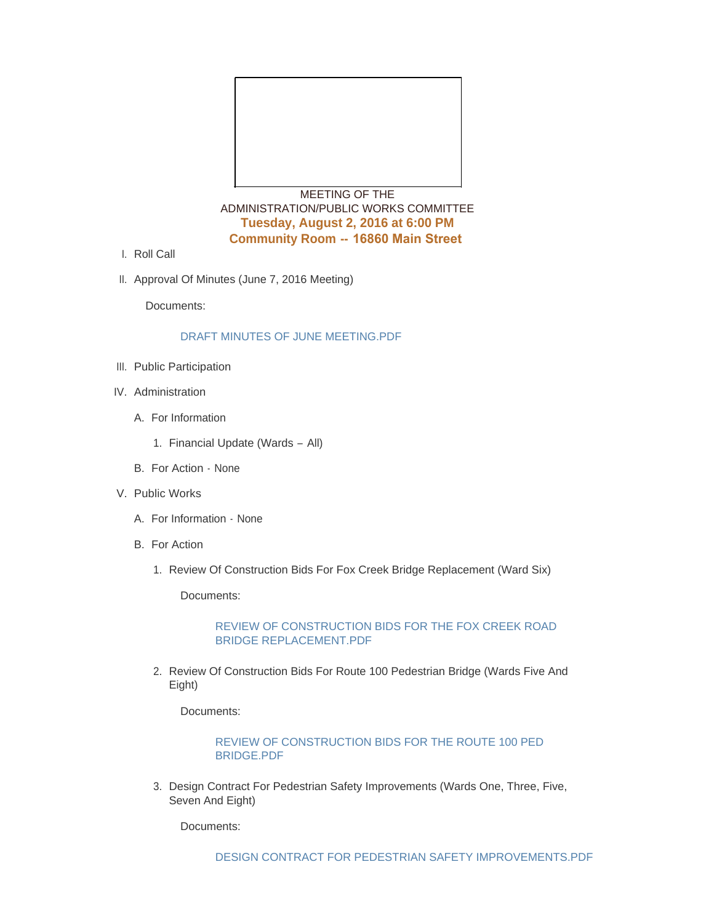

MEETING OF THE ADMINISTRATION/PUBLIC WORKS COMMITTEE **Tuesday, August 2, 2016 at 6:00 PM Community Room -- 16860 Main Street** 

- l. Roll Call
- II. Approval Of Minutes (June 7, 2016 Meeting)

Documents:

## DRAFT MINUTES OF JUNE MEETING PDF

- III. Public Participation
- IV. Administration
	- A. For Information
		- 1. Financial Update (Wards All)
	- B. For Action None
- V. Public Works
	- A. For Information None
	- B. For Action
		- 1. Review Of Construction Bids For Fox Creek Bridge Replacement (Ward Six)

Documents:

### [REVIEW OF CONSTRUCTION BIDS FOR THE FOX CREEK ROAD](http://mo-wildwood.civicplus.com/AgendaCenter/ViewFile/Item/7712?fileID=11375)  BRIDGE REPLACEMENT.PDF

2. Review Of Construction Bids For Route 100 Pedestrian Bridge (Wards Five And Eight)

Documents:

#### [REVIEW OF CONSTRUCTION BIDS FOR THE ROUTE 100 PED](http://mo-wildwood.civicplus.com/AgendaCenter/ViewFile/Item/7713?fileID=11376)  BRIDGE.PDF

3. Design Contract For Pedestrian Safety Improvements (Wards One, Three, Five, Seven And Eight)

Documents: